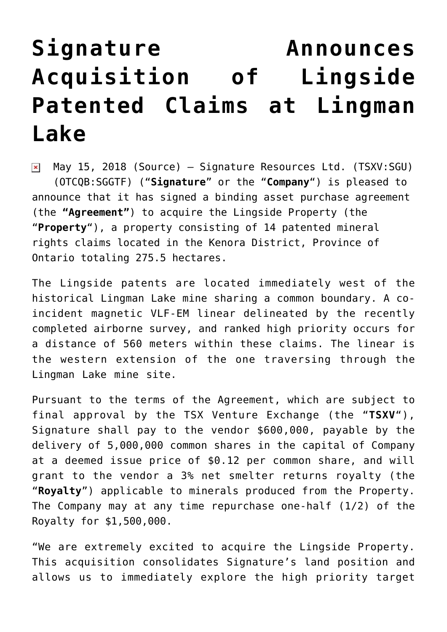## **[Signature Announces](https://investorintel.com/markets/gold-silver-base-metals/gold-precious-metals-news/signature-announces-acquisition-lingside-patented-claims-lingman-lake/) [Acquisition of Lingside](https://investorintel.com/markets/gold-silver-base-metals/gold-precious-metals-news/signature-announces-acquisition-lingside-patented-claims-lingman-lake/) [Patented Claims at Lingman](https://investorintel.com/markets/gold-silver-base-metals/gold-precious-metals-news/signature-announces-acquisition-lingside-patented-claims-lingman-lake/) [Lake](https://investorintel.com/markets/gold-silver-base-metals/gold-precious-metals-news/signature-announces-acquisition-lingside-patented-claims-lingman-lake/)**

May 15, 2018 ([Source\)](https://investorintel.com/iintel-members/signature-resources-ltd/) — Signature Resources Ltd. (TSXV:SGU)  $\pmb{\times}$ (OTCQB:SGGTF) ("**Signature**" or the "**Company**") is pleased to announce that it has signed a binding asset purchase agreement (the **"Agreement"**) to acquire the Lingside Property (the "**Property**"), a property consisting of 14 patented mineral rights claims located in the Kenora District, Province of Ontario totaling 275.5 hectares.

The Lingside patents are located immediately west of the historical Lingman Lake mine sharing a common boundary. A coincident magnetic VLF-EM linear delineated by the recently completed airborne survey, and ranked high priority occurs for a distance of 560 meters within these claims. The linear is the western extension of the one traversing through the Lingman Lake mine site.

Pursuant to the terms of the Agreement, which are subject to final approval by the TSX Venture Exchange (the "**TSXV**"), Signature shall pay to the vendor \$600,000, payable by the delivery of 5,000,000 common shares in the capital of Company at a deemed issue price of \$0.12 per common share, and will grant to the vendor a 3% net smelter returns royalty (the "**Royalty**") applicable to minerals produced from the Property. The Company may at any time repurchase one-half (1/2) of the Royalty for \$1,500,000.

"We are extremely excited to acquire the Lingside Property. This acquisition consolidates Signature's land position and allows us to immediately explore the high priority target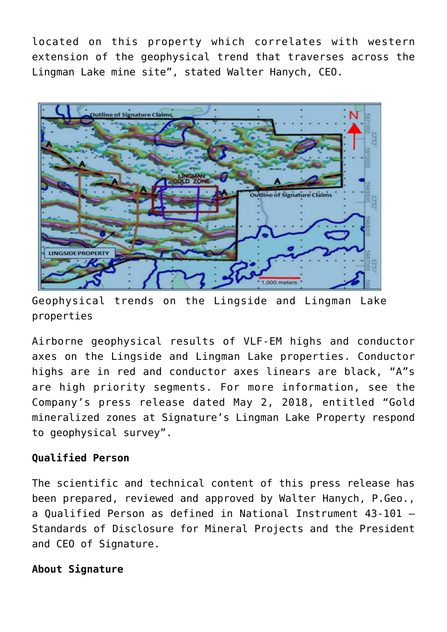located on this property which correlates with western extension of the geophysical trend that traverses across the Lingman Lake mine site", stated Walter Hanych, CEO.



Geophysical trends on the Lingside and Lingman Lake properties

Airborne geophysical results of VLF-EM highs and conductor axes on the Lingside and Lingman Lake properties. Conductor highs are in red and conductor axes linears are black, "A"s are high priority segments. For more information, see the Company's press release dated May 2, 2018, entitled "Gold mineralized zones at Signature's Lingman Lake Property respond to geophysical survey".

## **Qualified Person**

The scientific and technical content of this press release has been prepared, reviewed and approved by Walter Hanych, P.Geo., a Qualified Person as defined in National Instrument 43-101 – Standards of Disclosure for Mineral Projects and the President and CEO of Signature.

## **About Signature**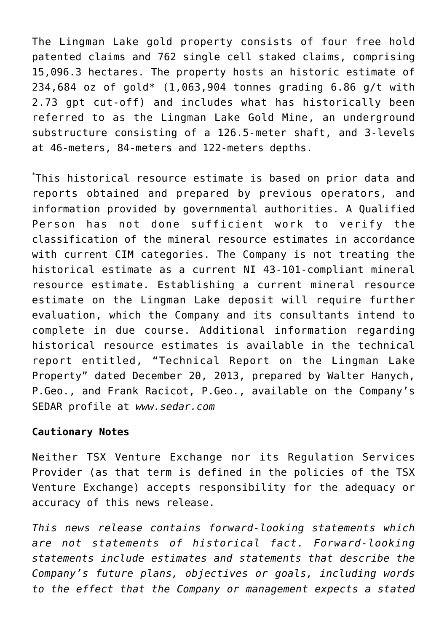The Lingman Lake gold property consists of four free hold patented claims and 762 single cell staked claims, comprising 15,096.3 hectares. The property hosts an historic estimate of 234,684 oz of gold\* (1,063,904 tonnes grading 6.86 g/t with 2.73 gpt cut-off) and includes what has historically been referred to as the Lingman Lake Gold Mine, an underground substructure consisting of a 126.5-meter shaft, and 3-levels at 46-meters, 84-meters and 122-meters depths.

\* This historical resource estimate is based on prior data and reports obtained and prepared by previous operators, and information provided by governmental authorities. A Qualified Person has not done sufficient work to verify the classification of the mineral resource estimates in accordance with current CIM categories. The Company is not treating the historical estimate as a current NI 43-101-compliant mineral resource estimate. Establishing a current mineral resource estimate on the Lingman Lake deposit will require further evaluation, which the Company and its consultants intend to complete in due course. Additional information regarding historical resource estimates is available in the technical report entitled, "Technical Report on the Lingman Lake Property" dated December 20, 2013, prepared by Walter Hanych, P.Geo., and Frank Racicot, P.Geo., available on the Company's SEDAR profile at *[www.sedar.com](https://www.globenewswire.com/Tracker?data=NK6PfWtPCLmNKOQZlNRtrG_I8vFc8iUIoJjw42lyGtPsCCmdop3IaYe3rlZgt7cpmfVTKGpJJLVRy8C5vAERTQ==)*

## **Cautionary Notes**

Neither TSX Venture Exchange nor its Regulation Services Provider (as that term is defined in the policies of the TSX Venture Exchange) accepts responsibility for the adequacy or accuracy of this news release.

*This news release contains forward-looking statements which are not statements of historical fact. Forward-looking statements include estimates and statements that describe the Company's future plans, objectives or goals, including words to the effect that the Company or management expects a stated*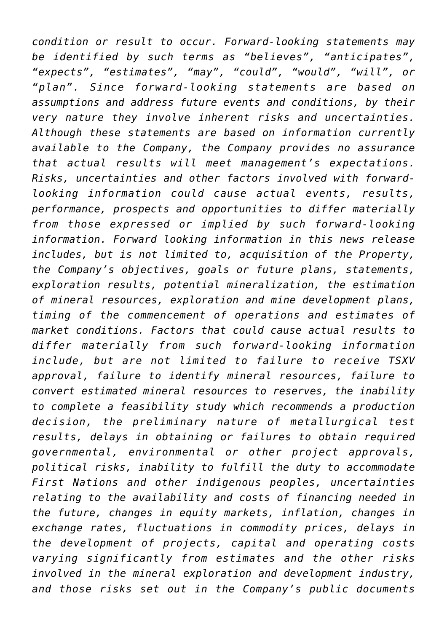*condition or result to occur. Forward-looking statements may be identified by such terms as "believes", "anticipates", "expects", "estimates", "may", "could", "would", "will", or "plan". Since forward-looking statements are based on assumptions and address future events and conditions, by their very nature they involve inherent risks and uncertainties. Although these statements are based on information currently available to the Company, the Company provides no assurance that actual results will meet management's expectations. Risks, uncertainties and other factors involved with forwardlooking information could cause actual events, results, performance, prospects and opportunities to differ materially from those expressed or implied by such forward-looking information. Forward looking information in this news release includes, but is not limited to, acquisition of the Property, the Company's objectives, goals or future plans, statements, exploration results, potential mineralization, the estimation of mineral resources, exploration and mine development plans, timing of the commencement of operations and estimates of market conditions. Factors that could cause actual results to differ materially from such forward-looking information include, but are not limited to failure to receive TSXV approval, failure to identify mineral resources, failure to convert estimated mineral resources to reserves, the inability to complete a feasibility study which recommends a production decision, the preliminary nature of metallurgical test results, delays in obtaining or failures to obtain required governmental, environmental or other project approvals, political risks, inability to fulfill the duty to accommodate First Nations and other indigenous peoples, uncertainties relating to the availability and costs of financing needed in the future, changes in equity markets, inflation, changes in exchange rates, fluctuations in commodity prices, delays in the development of projects, capital and operating costs varying significantly from estimates and the other risks involved in the mineral exploration and development industry, and those risks set out in the Company's public documents*